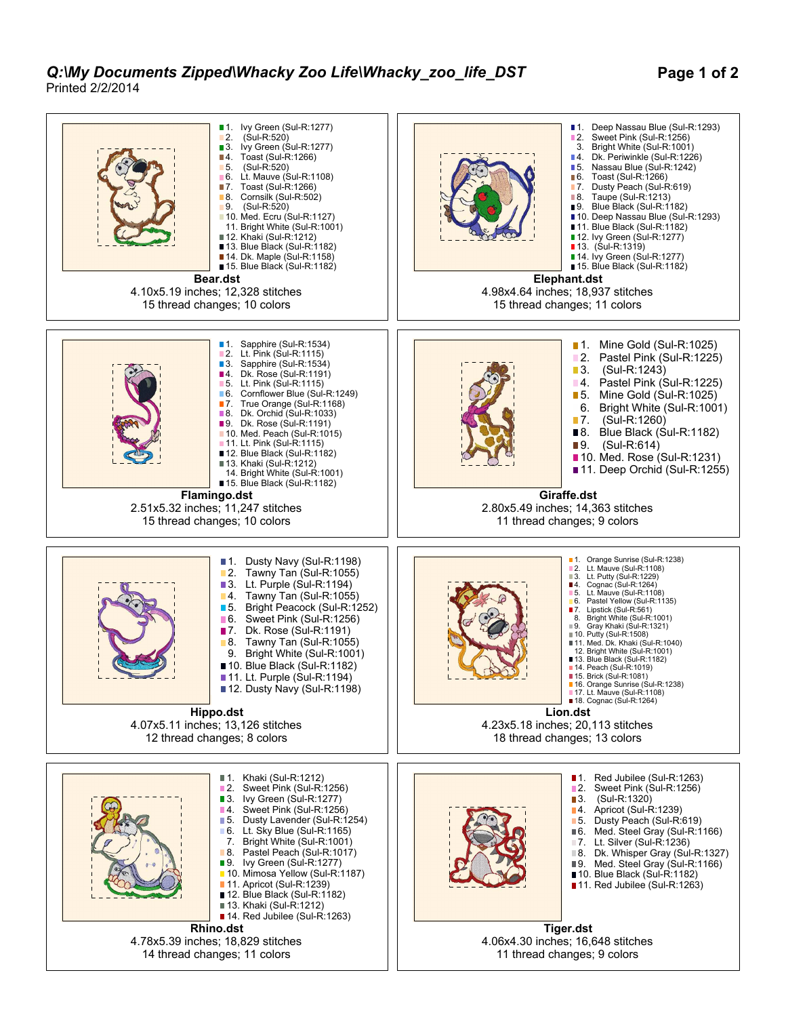